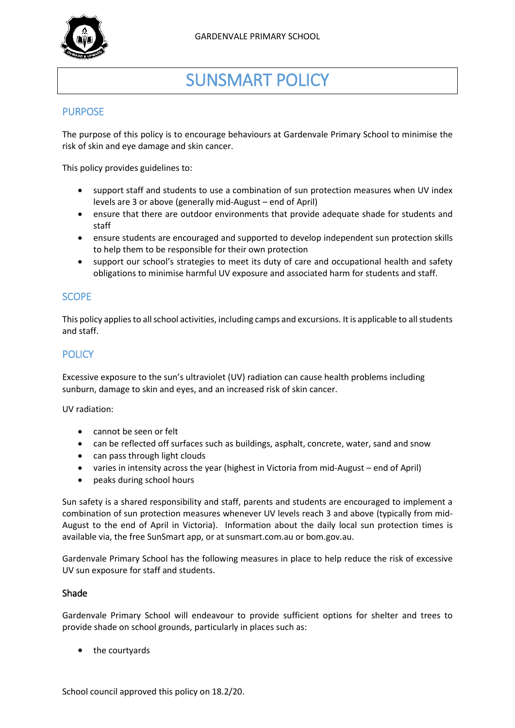

# SUNSMART POLICY

# PURPOSE

The purpose of this policy is to encourage behaviours at Gardenvale Primary School to minimise the risk of skin and eye damage and skin cancer.

This policy provides guidelines to:

- support staff and students to use a combination of sun protection measures when UV index levels are 3 or above (generally mid-August – end of April)
- ensure that there are outdoor environments that provide adequate shade for students and staff
- ensure students are encouraged and supported to develop independent sun protection skills to help them to be responsible for their own protection
- support our school's strategies to meet its duty of care and occupational health and safety obligations to minimise harmful UV exposure and associated harm for students and staff.

## **SCOPE**

This policy applies to all school activities, including camps and excursions. It is applicable to all students and staff.

# **POLICY**

Excessive exposure to the sun's ultraviolet (UV) radiation can cause health problems including sunburn, damage to skin and eyes, and an increased risk of skin cancer.

UV radiation:

- cannot be seen or felt
- can be reflected off surfaces such as buildings, asphalt, concrete, water, sand and snow
- can pass through light clouds
- varies in intensity across the year (highest in Victoria from mid-August end of April)
- peaks during school hours

Sun safety is a shared responsibility and staff, parents and students are encouraged to implement a combination of sun protection measures whenever UV levels reach 3 and above (typically from mid-August to the end of April in Victoria). Information about the daily local sun protection times is available via, the free [SunSmart app,](http://www.sunsmart.com.au/tools/interactive-tools/free-sunsmart-app) or a[t sunsmart.com.au](http://www.sunsmart.com.au/) or bom.gov.au.

Gardenvale Primary School has the following measures in place to help reduce the risk of excessive UV sun exposure for staff and students.

#### Shade

Gardenvale Primary School will endeavour to provide sufficient options for shelter and trees to provide shade on school grounds, particularly in places such as:

the courtyards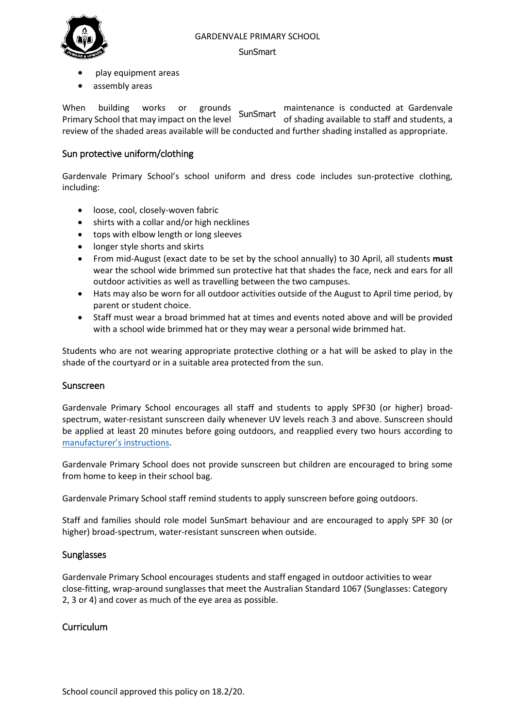#### GARDENVALE PRIMARY SCHOOL



#### **SunSmart**

- play equipment areas
- assembly areas

When building works or grounds maintenance is conducted at Gardenvale Primary School that may impact on the level SunSmart maintenance to conducted at cardentially review of the shaded areas available will be conducted and further shading installed as appropriate.

## Sun protective uniform/clothing

Gardenvale Primary School's school uniform and dress code includes sun-protective clothing, including:

- loose, cool, closely-woven fabric
- shirts with a collar and/or high necklines
- tops with elbow length or long sleeves
- longer style shorts and skirts
- From mid-August (exact date to be set by the school annually) to 30 April, all students **must**  wear the school wide brimmed sun protective hat that shades the face, neck and ears for all outdoor activities as well as travelling between the two campuses.
- Hats may also be worn for all outdoor activities outside of the August to April time period, by parent or student choice.
- Staff must wear a broad brimmed hat at times and events noted above and will be provided with a school wide brimmed hat or they may wear a personal wide brimmed hat.

Students who are not wearing appropriate protective clothing or a hat will be asked to play in the shade of the courtyard or in a suitable area protected from the sun.

#### Sunscreen

Gardenvale Primary School encourages all staff and students to apply SPF30 (or higher) broadspectrum, water-resistant sunscreen daily whenever UV levels reach 3 and above. Sunscreen should be applied at least 20 minutes before going outdoors, and reapplied every two hours according to [manufacturer's instructions](https://www.tga.gov.au/book/4-labelling-and-advertising).

Gardenvale Primary School does not provide sunscreen but children are encouraged to bring some from home to keep in their school bag.

Gardenvale Primary School staff remind students to apply sunscreen before going outdoors.

Staff and families should role model SunSmart behaviour and are encouraged to apply SPF 30 (or higher) broad-spectrum, water-resistant sunscreen when outside.

#### **Sunglasses**

Gardenvale Primary School encourages students and staff engaged in outdoor activities to wear close-fitting, wrap-around sunglasses that meet the Australian Standard 1067 (Sunglasses: Category 2, 3 or 4) and cover as much of the eye area as possible.

#### Curriculum